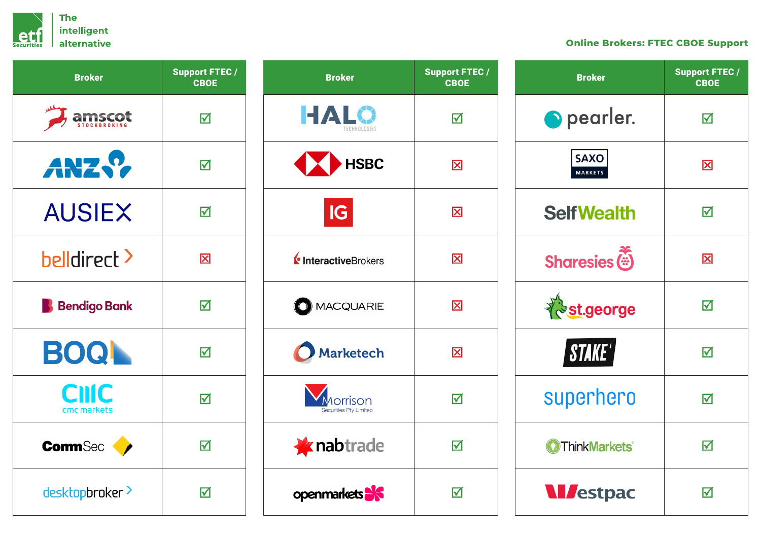

## **Online Brokers: FTEC CBOE Support**

| <b>Broker</b>               | <b>Support FTEC /</b><br><b>CBOE</b> |
|-----------------------------|--------------------------------------|
|                             | ☑                                    |
| ANZ .?                      | ☑                                    |
| <b>AUSIEX</b>               | ☑                                    |
| <b>belidirect</b> >         | $\overline{\mathbf{X}}$              |
| <b>Bendigo Bank</b>         | ☑                                    |
| <b>BOQ</b>                  | ☑                                    |
| <b>CIIIC</b><br>cmc markets | $\blacktriangledown$                 |
| <b>CommSec</b>              | ☑                                    |
| desktopbroker >             | ☑                                    |

| <b>Broker</b>                            | <b>Support FTEC /</b><br><b>CBOE</b> |
|------------------------------------------|--------------------------------------|
| HALO<br><b>FCHNOLOGIES</b>               | ☑                                    |
| <b>KEY HSBC</b>                          | $\overline{\mathbf{X}}$              |
| IG                                       | $\overline{\mathsf{x}}$              |
| InteractiveBrokers                       | $\overline{\mathsf{x}}$              |
| O MACQUARIE                              | $\overline{\mathbf{X}}$              |
| <b>Marketech</b>                         | $\overline{\mathbf{X}}$              |
| prrison<br><b>Securities Pty Limited</b> | ☑                                    |
| <b><i>X</i></b> nabtrade                 | ⊠                                    |
| openmarkets <sup>36</sup>                | ☑                                    |

| <b>Broker</b>                      | <b>Support FTEC /</b><br><b>CBOE</b> |
|------------------------------------|--------------------------------------|
| pearler.                           | ☑                                    |
| <b>SAXO</b><br><b>MARKETS</b>      | $\overline{\mathbf{X}}$              |
| <b>SelfWealth</b>                  | ⊠                                    |
| <b>Sharesies</b>                   | $\boxtimes$                          |
| <b>St.george</b>                   | 冈                                    |
| STAKE'                             | ⊠                                    |
| superhero                          | ☑                                    |
| <b>O</b> ThinkMarkets <sup>®</sup> | ☑                                    |
| <b>M</b> estpac                    | ☑                                    |